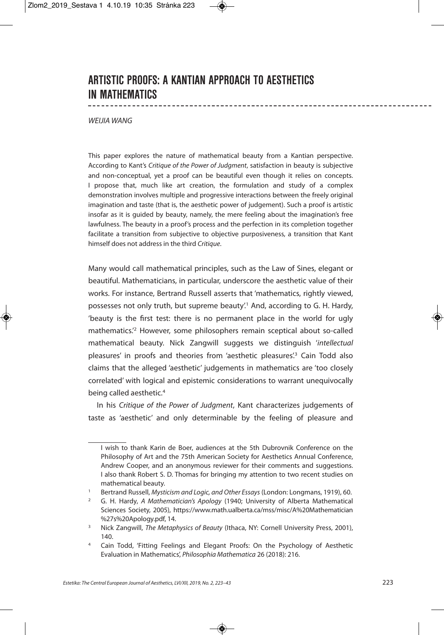## **ARTISTIC PROOFS: A KANTIAN APPROACH TO AESTHETICS IN MATHEMATICS**

## WEIJIA WANG

This paper explores the nature of mathematical beauty from a Kantian perspective. According to Kant's Critique of the Power of Judgment, satisfaction in beauty is subjective and non-conceptual, yet a proof can be beautiful even though it relies on concepts. I propose that, much like art creation, the formulation and study of a complex demonstration involves multiple and progressive interactions between the freely original imagination and taste (that is, the aesthetic power of judgement). Such a proof is artistic insofar as it is guided by beauty, namely, the mere feeling about the imagination's free lawfulness. The beauty in a proof's process and the perfection in its completion together facilitate a transition from subjective to objective purposiveness, a transition that Kant himself does not address in the third Critique.

Many would call mathematical principles, such as the Law of Sines, elegant or beautiful. Mathematicians, in particular, underscore the aesthetic value of their works. For instance, Bertrand Russell asserts that 'mathematics, rightly viewed, possesses not only truth, but supreme beauty'.<sup>1</sup> And, according to G. H. Hardy, 'beauty is the first test: there is no permanent place in the world for ugly mathematics.' <sup>2</sup> However, some philosophers remain sceptical about so-called mathematical beauty. Nick Zangwill suggests we distinguish 'intellectual pleasures' in proofs and theories from 'aesthetic pleasures'.<sup>3</sup> Cain Todd also claims that the alleged 'aesthetic' judgements in mathematics are 'too closely correlated' with logical and epistemic considerations to warrant unequivocally being called aesthetic. 4

In his Critique of the Power of Judgment, Kant characterizes judgements of taste as 'aesthetic' and only determinable by the feeling of pleasure and

I wish to thank Karin de Boer, audiences at the 5th Dubrovnik Conference on the Philosophy of Art and the 75th American Society for Aesthetics Annual Conference, Andrew Cooper, and an anonymous reviewer for their comments and suggestions. I also thank Robert S. D. Thomas for bringing my attention to two recent studies on mathematical beauty.

<sup>1</sup> Bertrand Russell, Mysticism and Logic, and Other Essays (London: Longmans, 1919), 60.

<sup>&</sup>lt;sup>2</sup> G. H. Hardy, A Mathematician's Apology (1940; University of Alberta Mathematical Sciences Society, 2005), https://www.math.ualberta.ca/mss/misc/A%20Mathematician %27s%20Apology.pdf, 14.

<sup>&</sup>lt;sup>3</sup> Nick Zangwill, The Metaphysics of Beauty (Ithaca, NY: Cornell University Press, 2001), 140.

<sup>4</sup> Cain Todd, 'Fitting Feelings and Elegant Proofs: On the Psychology of Aesthetic Evaluation in Mathematics', Philosophia Mathematica 26 (2018): 216.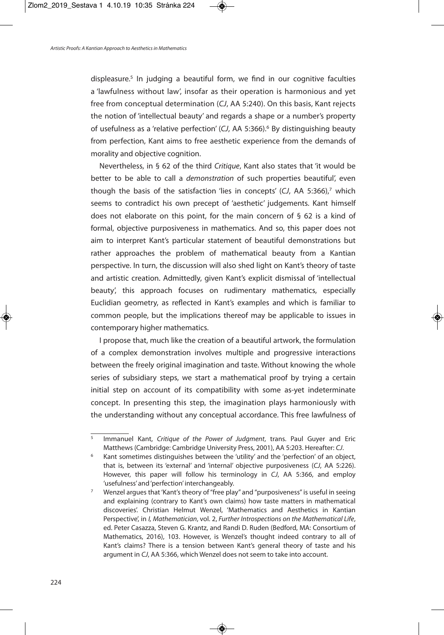displeasure. <sup>5</sup> In judging a beautiful form, we find in our cognitive faculties a 'lawfulness without law', insofar as their operation is harmonious and yet free from conceptual determination (CJ, AA 5:240). On this basis, Kant rejects the notion of 'intellectual beauty' and regards a shape or a number's property of usefulness as a 'relative perfection' (CJ, AA 5:366). <sup>6</sup> By distinguishing beauty from perfection, Kant aims to free aesthetic experience from the demands of morality and objective cognition.

Nevertheless, in § 62 of the third Critique, Kant also states that 'it would be better to be able to call a *demonstration* of such properties beautiful', even though the basis of the satisfaction 'lies in concepts' (CJ, AA 5:366), <sup>7</sup> which seems to contradict his own precept of 'aesthetic' judgements. Kant himself does not elaborate on this point, for the main concern of § 62 is a kind of formal, objective purposiveness in mathematics. And so, this paper does not aim to interpret Kant's particular statement of beautiful demonstrations but rather approaches the problem of mathematical beauty from a Kantian perspective. In turn, the discussion will also shed light on Kant's theory of taste and artistic creation. Admittedly, given Kant's explicit dismissal of 'intellectual beauty', this approach focuses on rudimentary mathematics, especially Euclidian geometry, as reflected in Kant's examples and which is familiar to common people, but the implications thereof may be applicable to issues in contemporary higher mathematics.

I propose that, much like the creation of a beautiful artwork, the formulation of a complex demonstration involves multiple and progressive interactions between the freely original imagination and taste. Without knowing the whole series of subsidiary steps, we start a mathematical proof by trying a certain initial step on account of its compatibility with some as-yet indeterminate concept. In presenting this step, the imagination plays harmoniously with the understanding without any conceptual accordance. This free lawfulness of

<sup>&</sup>lt;sup>5</sup> Immanuel Kant, Critique of the Power of Judgment, trans. Paul Guyer and Eric Matthews (Cambridge: Cambridge University Press, 2001), AA 5:203. Hereafter: CJ.

Kant sometimes distinguishes between the 'utility' and the 'perfection' of an object, that is, between its 'external' and 'internal' objective purposiveness (CJ, AA 5:226). However, this paper will follow his terminology in CJ, AA 5:366, and employ 'usefulness' and'perfection' interchangeably.

<sup>&</sup>lt;sup>7</sup> Wenzel argues that 'Kant's theory of "free play" and "purposiveness" is useful in seeing and explaining (contrary to Kant's own claims) how taste matters in mathematical discoveries'. Christian Helmut Wenzel, 'Mathematics and Aesthetics in Kantian Perspective', in I, Mathematician, vol. 2, Further Introspections on the Mathematical Life, ed. Peter Casazza, Steven G. Krantz, and Randi D. Ruden (Bedford, MA: Consortium of Mathematics, 2016), 103. However, is Wenzel's thought indeed contrary to all of Kant's claims? There is a tension between Kant's general theory of taste and his argument in CJ, AA 5:366, which Wenzel does not seem to take into account.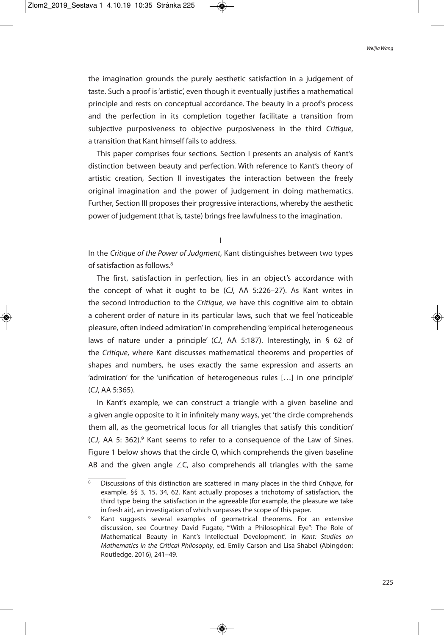the imagination grounds the purely aesthetic satisfaction in a judgement of taste. Such a proof is'artistic', even though it eventually justifies a mathematical principle and rests on conceptual accordance. The beauty in a proof's process and the perfection in its completion together facilitate a transition from subjective purposiveness to objective purposiveness in the third Critique, a transition that Kant himself fails to address.

This paper comprises four sections. Section I presents an analysis of Kant's distinction between beauty and perfection. With reference to Kant's theory of artistic creation, Section II investigates the interaction between the freely original imagination and the power of judgement in doing mathematics. Further, Section III proposes their progressive interactions, whereby the aesthetic power of judgement (that is, taste) brings free lawfulness to the imagination.

I

In the Critique of the Power of Judgment, Kant distinguishes between two types of satisfaction as follows. 8

The first, satisfaction in perfection, lies in an object's accordance with the concept of what it ought to be (CJ, AA 5:226–27). As Kant writes in the second Introduction to the Critique, we have this cognitive aim to obtain a coherent order of nature in its particular laws, such that we feel 'noticeable pleasure, often indeed admiration' in comprehending 'empirical heterogeneous laws of nature under a principle' (CJ, AA 5:187). Interestingly, in § 62 of the Critique, where Kant discusses mathematical theorems and properties of shapes and numbers, he uses exactly the same expression and asserts an 'admiration' for the 'unification of heterogeneous rules […] in one principle' (CJ, AA 5:365).

In Kant's example, we can construct a triangle with a given baseline and a given angle opposite to it in infinitely many ways, yet'the circle comprehends them all, as the geometrical locus for all triangles that satisfy this condition' (CJ, AA 5: 362).<sup>9</sup> Kant seems to refer to a consequence of the Law of Sines. Figure 1 below shows that the circle O, which comprehends the given baseline AB and the given angle ∠C, also comprehends all triangles with the same

<sup>&</sup>lt;sup>8</sup> Discussions of this distinction are scattered in many places in the third Critique, for example, §§ 3, 15, 34, 62. Kant actually proposes a trichotomy of satisfaction, the third type being the satisfaction in the agreeable (for example, the pleasure we take in fresh air), an investigation of which surpasses the scope of this paper.

Kant suggests several examples of geometrical theorems. For an extensive discussion, see Courtney David Fugate, '"With a Philosophical Eye": The Role of Mathematical Beauty in Kant's Intellectual Development', in Kant: Studies on Mathematics in the Critical Philosophy, ed. Emily Carson and Lisa Shabel (Abingdon: Routledge, 2016), 241–49.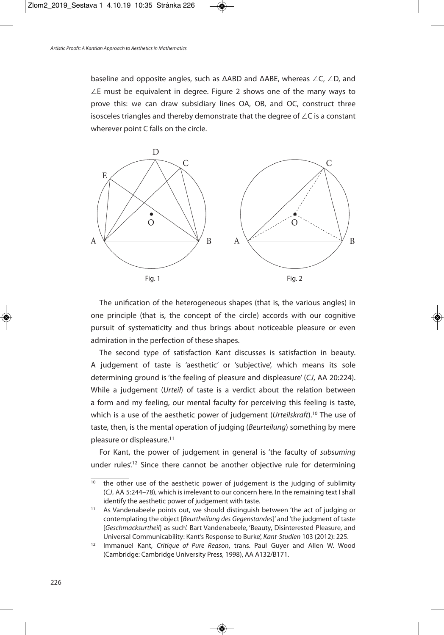baseline and opposite angles, such as ΔABD and ΔABE, whereas ∠C, ∠D, and ∠E must be equivalent in degree. Figure 2 shows one of the many ways to prove this: we can draw subsidiary lines OA, OB, and OC, construct three isosceles triangles and thereby demonstrate that the degree of ∠C is a constant wherever point C falls on the circle.



The unification of the heterogeneous shapes (that is, the various angles) in one principle (that is, the concept of the circle) accords with our cognitive pursuit of systematicity and thus brings about noticeable pleasure or even admiration in the perfection of these shapes.

The second type of satisfaction Kant discusses is satisfaction in beauty. A judgement of taste is 'aesthetic' or 'subjective', which means its sole determining ground is'the feeling of pleasure and displeasure' (CJ, AA 20:224). While a judgement (Urteil) of taste is a verdict about the relation between a form and my feeling, our mental faculty for perceiving this feeling is taste, which is a use of the aesthetic power of judgement (Urteilskraft).<sup>10</sup> The use of taste, then, is the mental operation of judging (Beurteilung) something by mere pleasure or displeasure. 11

For Kant, the power of judgement in general is 'the faculty of subsuming under rules<sup>'12</sup> Since there cannot be another objective rule for determining

<sup>&</sup>lt;sup>10</sup> the other use of the aesthetic power of judgement is the judging of sublimity (CJ, AA 5:244–78), which is irrelevant to our concern here. In the remaining text I shall identify the aesthetic power of judgement with taste.

<sup>&</sup>lt;sup>11</sup> As Vandenabeele points out, we should distinguish between 'the act of judging or contemplating the object [Beurtheilung des Gegenstandes]' and 'the judgment of taste [Geschmacksurtheil] as such'. Bart Vandenabeele, 'Beauty, Disinterested Pleasure, and Universal Communicability: Kant's Response to Burke', Kant-Studien 103 (2012): 225.

<sup>&</sup>lt;sup>12</sup> Immanuel Kant, Critique of Pure Reason, trans. Paul Guyer and Allen W. Wood (Cambridge: Cambridge University Press, 1998), AA A132/B171.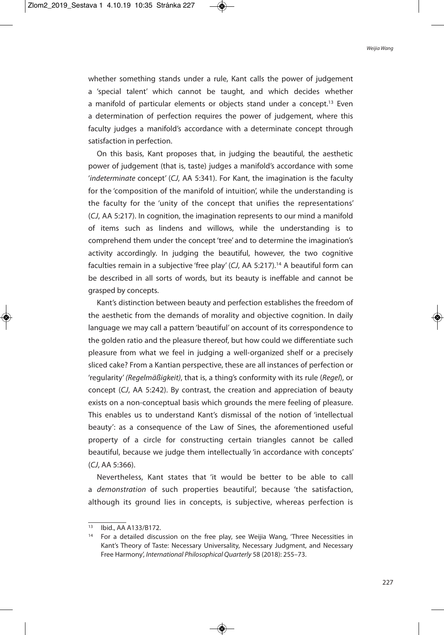whether something stands under a rule, Kant calls the power of judgement a 'special talent' which cannot be taught, and which decides whether a manifold of particular elements or objects stand under a concept.<sup>13</sup> Even a determination of perfection requires the power of judgement, where this faculty judges a manifold's accordance with a determinate concept through satisfaction in perfection.

On this basis, Kant proposes that, in judging the beautiful, the aesthetic power of judgement (that is, taste) judges a manifold's accordance with some 'indeterminate concept' (CJ, AA 5:341). For Kant, the imagination is the faculty for the 'composition of the manifold of intuition', while the understanding is the faculty for the 'unity of the concept that unifies the representations' (CJ, AA 5:217). In cognition, the imagination represents to our mind a manifold of items such as lindens and willows, while the understanding is to comprehend them under the concept 'tree' and to determine the imagination's activity accordingly. In judging the beautiful, however, the two cognitive faculties remain in a subjective 'free play' (CJ, AA 5:217). <sup>14</sup> A beautiful form can be described in all sorts of words, but its beauty is ineffable and cannot be grasped by concepts.

Kant's distinction between beauty and perfection establishes the freedom of the aesthetic from the demands of morality and objective cognition. In daily language we may call a pattern 'beautiful' on account of its correspondence to the golden ratio and the pleasure thereof, but how could we differentiate such pleasure from what we feel in judging a well-organized shelf or a precisely sliced cake? From a Kantian perspective, these are all instances of perfection or 'regularity' (Regelmäßigkeit), that is, a thing's conformity with its rule (Regel), or concept (CJ, AA 5:242). By contrast, the creation and appreciation of beauty exists on a non-conceptual basis which grounds the mere feeling of pleasure. This enables us to understand Kant's dismissal of the notion of 'intellectual beauty': as a consequence of the Law of Sines, the aforementioned useful property of a circle for constructing certain triangles cannot be called beautiful, because we judge them intellectually 'in accordance with concepts' (CJ, AA 5:366).

Nevertheless, Kant states that 'it would be better to be able to call a demonstration of such properties beautiful', because 'the satisfaction, although its ground lies in concepts, is subjective, whereas perfection is

 $\overline{13}$  Ibid., AA A133/B172.

<sup>&</sup>lt;sup>14</sup> For a detailed discussion on the free play, see Weijia Wang, 'Three Necessities in Kant's Theory of Taste: Necessary Universality, Necessary Judgment, and Necessary Free Harmony', International Philosophical Quarterly 58 (2018): 255–73.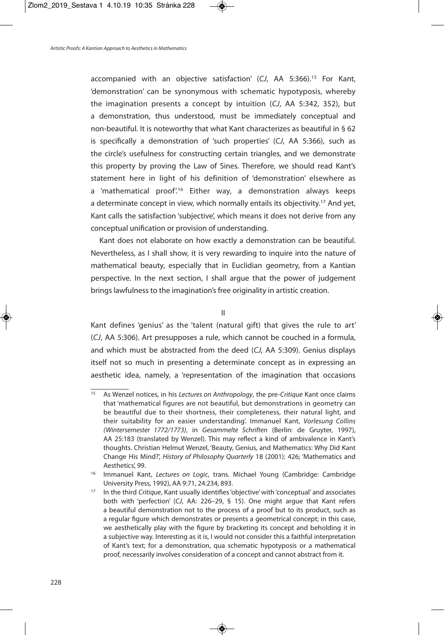accompanied with an objective satisfaction' (CJ, AA 5:366). <sup>15</sup> For Kant, 'demonstration' can be synonymous with schematic hypotyposis, whereby the imagination presents a concept by intuition (CJ, AA 5:342, 352), but a demonstration, thus understood, must be immediately conceptual and non-beautiful. It is noteworthy that what Kant characterizes as beautiful in § 62 is specifically a demonstration of 'such properties' (CJ, AA 5:366), such as the circle's usefulness for constructing certain triangles, and we demonstrate this property by proving the Law of Sines. Therefore, we should read Kant's statement here in light of his definition of 'demonstration' elsewhere as a 'mathematical proof.<sup>16</sup> Either way, a demonstration always keeps a determinate concept in view, which normally entails its objectivity.<sup>17</sup> And yet, Kant calls the satisfaction 'subjective', which means it does not derive from any conceptual unification or provision of understanding.

Kant does not elaborate on how exactly a demonstration can be beautiful. Nevertheless, as I shall show, it is very rewarding to inquire into the nature of mathematical beauty, especially that in Euclidian geometry, from a Kantian perspective. In the next section, I shall argue that the power of judgement brings lawfulness to the imagination's free originality in artistic creation.

II

Kant defines 'genius' as the 'talent (natural gift) that gives the rule to art' (CJ, AA 5:306). Art presupposes a rule, which cannot be couched in a formula, and which must be abstracted from the deed (CJ, AA 5:309). Genius displays itself not so much in presenting a determinate concept as in expressing an aesthetic idea, namely, a 'representation of the imagination that occasions

<sup>&</sup>lt;sup>15</sup> As Wenzel notices, in his Lectures on Anthropology, the pre-Critique Kant once claims that 'mathematical figures are not beautiful, but demonstrations in geometry can be beautiful due to their shortness, their completeness, their natural light, and their suitability for an easier understanding'. Immanuel Kant, Vorlesung Collins (Wintersemester 1772/1773), in Gesammelte Schriften (Berlin: de Gruyter, 1997), AA 25:183 (translated by Wenzel). This may reflect a kind of ambivalence in Kant's thoughts. Christian Helmut Wenzel, 'Beauty, Genius, and Mathematics: Why Did Kant Change His Mind?', History of Philosophy Quarterly 18 (2001): 426; 'Mathematics and Aesthetics', 99.

<sup>&</sup>lt;sup>16</sup> Immanuel Kant, Lectures on Logic, trans. Michael Young (Cambridge: Cambridge University Press, 1992), AA 9:71, 24:234, 893.

<sup>&</sup>lt;sup>17</sup> In the third Critique, Kant usually identifies 'objective' with 'conceptual' and associates both with 'perfection' (CJ, AA: 226–29, § 15). One might argue that Kant refers a beautiful demonstration not to the process of a proof but to its product, such as a regular figure which demonstrates or presents a geometrical concept; in this case, we aesthetically play with the figure by bracketing its concept and beholding it in a subjective way. Interesting as it is, I would not consider this a faithful interpretation of Kant's text; for a demonstration, qua schematic hypotyposis or a mathematical proof, necessarily involves consideration of a concept and cannot abstract from it.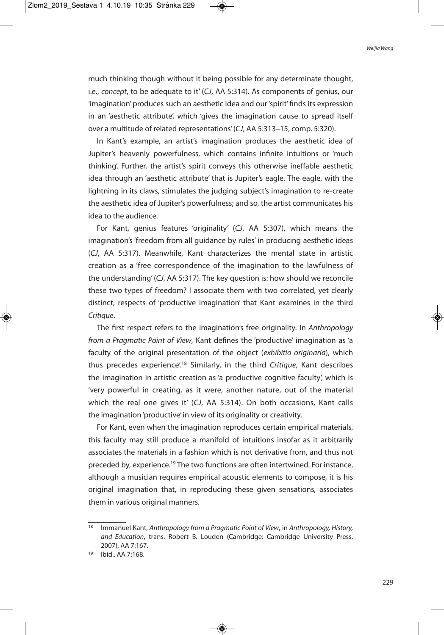much thinking though without it being possible for any determinate thought, i.e., concept, to be adequate to it' (CJ, AA 5:314). As components of genius, our 'imagination'produces such an aesthetic idea and our'spirit' finds its expression in an 'aesthetic attribute', which 'gives the imagination cause to spread itself over a multitude of related representations'(CJ, AA 5:313–15, comp. 5:320).

In Kant's example, an artist's imagination produces the aesthetic idea of Jupiter's heavenly powerfulness, which contains infinite intuitions or 'much thinking'. Further, the artist's spirit conveys this otherwise ineffable aesthetic idea through an 'aesthetic attribute' that is Jupiter's eagle. The eagle, with the lightning in its claws, stimulates the judging subject's imagination to re-create the aesthetic idea of Jupiter's powerfulness; and so, the artist communicates his idea to the audience.

For Kant, genius features 'originality' (CJ, AA 5:307), which means the imagination's'freedom from all guidance by rules' in producing aesthetic ideas (CJ, AA 5:317). Meanwhile, Kant characterizes the mental state in artistic creation as a 'free correspondence of the imagination to the lawfulness of the understanding' (CJ, AA 5:317). The key question is: how should we reconcile these two types of freedom? I associate them with two correlated, yet clearly distinct, respects of 'productive imagination' that Kant examines in the third Critique.

The first respect refers to the imagination's free originality. In Anthropology from a Pragmatic Point of View, Kant defines the 'productive' imagination as 'a faculty of the original presentation of the object (exhibitio originaria), which thus precedes experience<sup>',18</sup> Similarly, in the third Critique, Kant describes the imagination in artistic creation as 'a productive cognitive faculty', which is 'very powerful in creating, as it were, another nature, out of the material which the real one gives it' (CJ, AA 5:314). On both occasions, Kant calls the imagination'productive' in view of its originality or creativity.

For Kant, even when the imagination reproduces certain empirical materials, this faculty may still produce a manifold of intuitions insofar as it arbitrarily associates the materials in a fashion which is not derivative from, and thus not preceded by, experience.<sup>19</sup> The two functions are often intertwined. For instance, although a musician requires empirical acoustic elements to compose, it is his original imagination that, in reproducing these given sensations, associates them in various original manners.

 $\frac{18}{18}$  Immanuel Kant, Anthropology from a Pragmatic Point of View, in Anthropology, History, and Education, trans. Robert B. Louden (Cambridge: Cambridge University Press, 2007), AA 7:167.

<sup>19</sup> Ibid., AA 7:168.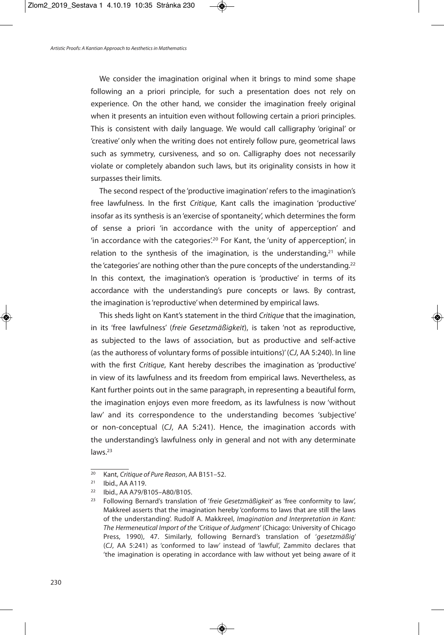We consider the imagination original when it brings to mind some shape following an a priori principle, for such a presentation does not rely on experience. On the other hand, we consider the imagination freely original when it presents an intuition even without following certain a priori principles. This is consistent with daily language. We would call calligraphy 'original' or 'creative' only when the writing does not entirely follow pure, geometrical laws such as symmetry, cursiveness, and so on. Calligraphy does not necessarily violate or completely abandon such laws, but its originality consists in how it surpasses their limits.

The second respect of the 'productive imagination'refers to the imagination's free lawfulness. In the first Critique, Kant calls the imagination 'productive' insofar as its synthesis is an 'exercise of spontaneity', which determines the form of sense a priori 'in accordance with the unity of apperception' and 'in accordance with the categories<sup>', 20</sup> For Kant, the 'unity of apperception', in relation to the synthesis of the imagination, is the understanding,<sup>21</sup> while the 'categories' are nothing other than the pure concepts of the understanding.<sup>22</sup> In this context, the imagination's operation is 'productive' in terms of its accordance with the understanding's pure concepts or laws. By contrast, the imagination is'reproductive'when determined by empirical laws.

This sheds light on Kant's statement in the third Critique that the imagination, in its 'free lawfulness' (freie Gesetzmäßigkeit), is taken 'not as reproductive, as subjected to the laws of association, but as productive and self-active (as the authoress of voluntary forms of possible intuitions)'(CJ, AA 5:240). In line with the first Critique, Kant hereby describes the imagination as 'productive' in view of its lawfulness and its freedom from empirical laws. Nevertheless, as Kant further points out in the same paragraph, in representing a beautiful form, the imagination enjoys even more freedom, as its lawfulness is now 'without law' and its correspondence to the understanding becomes 'subjective' or non-conceptual (CJ, AA 5:241). Hence, the imagination accords with the understanding's lawfulness only in general and not with any determinate laws.<sup>23</sup>

 $\overline{20}$  Kant, Critique of Pure Reason, AA B151-52.

<sup>21</sup> Ibid., AA A119.

<sup>22</sup> Ibid., AA A79/B105–A80/B105.

<sup>&</sup>lt;sup>23</sup> Following Bernard's translation of 'freie Gesetzmäßigkeit' as 'free conformity to law', Makkreel asserts that the imagination hereby 'conforms to laws that are still the laws of the understanding'. Rudolf A. Makkreel, Imagination and Interpretation in Kant: The Hermeneutical Import of the 'Critique of Judgment' (Chicago: University of Chicago Press, 1990), 47. Similarly, following Bernard's translation of 'gesetzmäßig' (CJ, AA 5:241) as 'conformed to law' instead of 'lawful', Zammito declares that 'the imagination is operating in accordance with law without yet being aware of it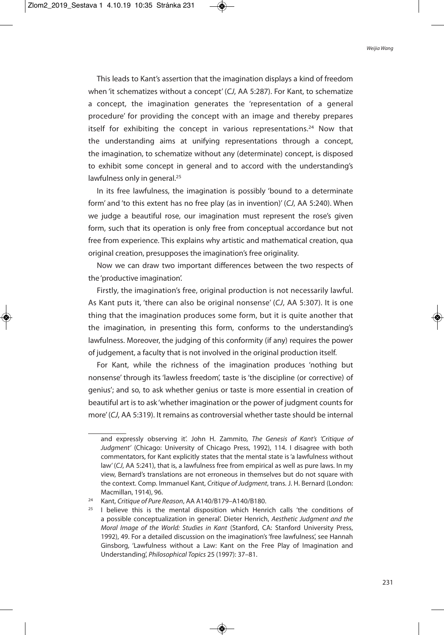This leads to Kant's assertion that the imagination displays a kind of freedom when 'it schematizes without a concept' (CJ, AA 5:287). For Kant, to schematize a concept, the imagination generates the 'representation of a general procedure' for providing the concept with an image and thereby prepares itself for exhibiting the concept in various representations.<sup>24</sup> Now that the understanding aims at unifying representations through a concept, the imagination, to schematize without any (determinate) concept, is disposed to exhibit some concept in general and to accord with the understanding's lawfulness only in general.<sup>25</sup>

In its free lawfulness, the imagination is possibly 'bound to a determinate form' and 'to this extent has no free play (as in invention)' (CJ, AA 5:240). When we judge a beautiful rose, our imagination must represent the rose's given form, such that its operation is only free from conceptual accordance but not free from experience. This explains why artistic and mathematical creation, qua original creation, presupposes the imagination's free originality.

Now we can draw two important differences between the two respects of the 'productive imagination'.

Firstly, the imagination's free, original production is not necessarily lawful. As Kant puts it, 'there can also be original nonsense' (CJ, AA 5:307). It is one thing that the imagination produces some form, but it is quite another that the imagination, in presenting this form, conforms to the understanding's lawfulness. Moreover, the judging of this conformity (if any) requires the power of judgement, a faculty that is not involved in the original production itself.

For Kant, while the richness of the imagination produces 'nothing but nonsense' through its 'lawless freedom', taste is 'the discipline (or corrective) of genius'; and so, to ask whether genius or taste is more essential in creation of beautiful art is to ask 'whether imagination or the power of judgment counts for more'(CJ, AA 5:319). It remains as controversial whether taste should be internal

and expressly observing it'. John H. Zammito, The Genesis of Kant's 'Critique of Judgment' (Chicago: University of Chicago Press, 1992), 114. I disagree with both commentators, for Kant explicitly states that the mental state is'a lawfulness without law' (CJ, AA 5:241), that is, a lawfulness free from empirical as well as pure laws. In my view, Bernard's translations are not erroneous in themselves but do not square with the context. Comp. Immanuel Kant, Critique of Judgment, trans. J. H. Bernard (London: Macmillan, 1914), 96.

<sup>&</sup>lt;sup>24</sup> Kant, Critique of Pure Reason, AA A140/B179-A140/B180.

 $25$  I believe this is the mental disposition which Henrich calls 'the conditions of a possible conceptualization in general'. Dieter Henrich, Aesthetic Judgment and the Moral Image of the World: Studies in Kant (Stanford, CA: Stanford University Press, 1992), 49. For a detailed discussion on the imagination's'free lawfulness', see Hannah Ginsborg, 'Lawfulness without a Law: Kant on the Free Play of Imagination and Understanding', Philosophical Topics 25 (1997): 37–81.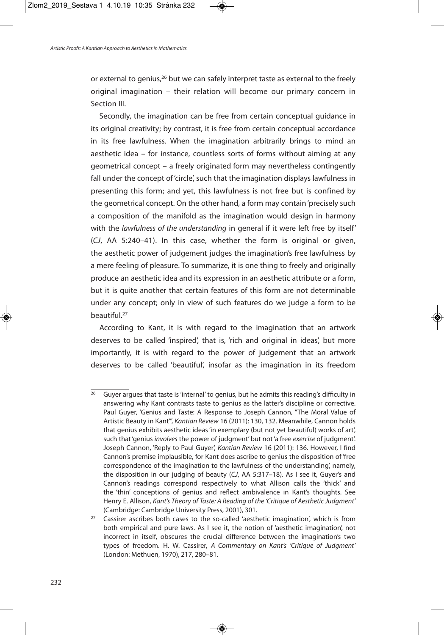or external to genius,<sup>26</sup> but we can safely interpret taste as external to the freely original imagination – their relation will become our primary concern in Section III.

Secondly, the imagination can be free from certain conceptual guidance in its original creativity; by contrast, it is free from certain conceptual accordance in its free lawfulness. When the imagination arbitrarily brings to mind an aesthetic idea – for instance, countless sorts of forms without aiming at any geometrical concept – a freely originated form may nevertheless contingently fall under the concept of'circle', such that the imagination displays lawfulness in presenting this form; and yet, this lawfulness is not free but is confined by the geometrical concept. On the other hand, a form may contain'precisely such a composition of the manifold as the imagination would design in harmony with the lawfulness of the understanding in general if it were left free by itself' (CJ, AA 5:240–41). In this case, whether the form is original or given, the aesthetic power of judgement judges the imagination's free lawfulness by a mere feeling of pleasure. To summarize, it is one thing to freely and originally produce an aesthetic idea and its expression in an aesthetic attribute or a form, but it is quite another that certain features of this form are not determinable under any concept; only in view of such features do we judge a form to be beautiful. 27

According to Kant, it is with regard to the imagination that an artwork deserves to be called 'inspired', that is, 'rich and original in ideas', but more importantly, it is with regard to the power of judgement that an artwork deserves to be called 'beautiful', insofar as the imagination in its freedom

<sup>&</sup>lt;sup>26</sup> Guyer argues that taste is 'internal' to genius, but he admits this reading's difficulty in answering why Kant contrasts taste to genius as the latter's discipline or corrective. Paul Guyer, 'Genius and Taste: A Response to Joseph Cannon, "The Moral Value of Artistic Beauty in Kant"', Kantian Review 16 (2011): 130, 132. Meanwhile, Cannon holds that genius exhibits aesthetic ideas'in exemplary (but not yet beautiful) works of art', such that 'genius involves the power of judgment' but not 'a free exercise of judgment'. Joseph Cannon, 'Reply to Paul Guyer', Kantian Review 16 (2011): 136. However, I find Cannon's premise implausible, for Kant does ascribe to genius the disposition of 'free correspondence of the imagination to the lawfulness of the understanding', namely, the disposition in our judging of beauty (CJ, AA 5:317–18). As I see it, Guyer's and Cannon's readings correspond respectively to what Allison calls the 'thick' and the 'thin' conceptions of genius and reflect ambivalence in Kant's thoughts. See Henry E. Allison, Kant's Theory of Taste: A Reading of the 'Critique of Aesthetic Judgment' (Cambridge: Cambridge University Press, 2001), 301.

 $27$  Cassirer ascribes both cases to the so-called 'aesthetic imagination', which is from both empirical and pure laws. As I see it, the notion of 'aesthetic imagination', not incorrect in itself, obscures the crucial difference between the imagination's two types of freedom. H. W. Cassirer, A Commentary on Kant's 'Critique of Judgment' (London: Methuen, 1970), 217, 280–81.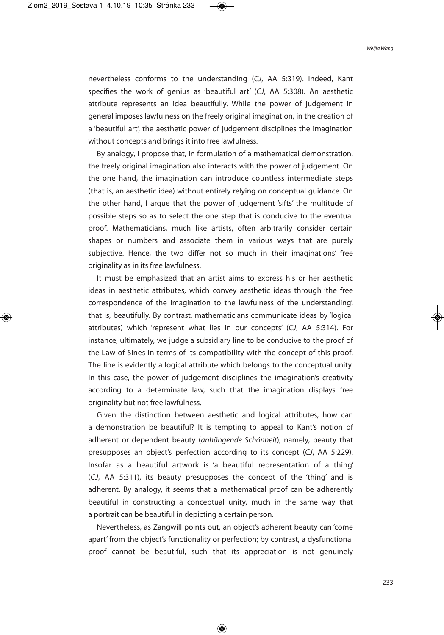nevertheless conforms to the understanding (CJ, AA 5:319). Indeed, Kant specifies the work of genius as 'beautiful art' (CJ, AA 5:308). An aesthetic attribute represents an idea beautifully. While the power of judgement in general imposes lawfulness on the freely original imagination, in the creation of a 'beautiful art', the aesthetic power of judgement disciplines the imagination without concepts and brings it into free lawfulness.

By analogy, I propose that, in formulation of a mathematical demonstration, the freely original imagination also interacts with the power of judgement. On the one hand, the imagination can introduce countless intermediate steps (that is, an aesthetic idea) without entirely relying on conceptual guidance. On the other hand, I argue that the power of judgement 'sifts' the multitude of possible steps so as to select the one step that is conducive to the eventual proof. Mathematicians, much like artists, often arbitrarily consider certain shapes or numbers and associate them in various ways that are purely subjective. Hence, the two differ not so much in their imaginations' free originality as in its free lawfulness.

It must be emphasized that an artist aims to express his or her aesthetic ideas in aesthetic attributes, which convey aesthetic ideas through 'the free correspondence of the imagination to the lawfulness of the understanding', that is, beautifully. By contrast, mathematicians communicate ideas by 'logical attributes', which 'represent what lies in our concepts' (CJ, AA 5:314). For instance, ultimately, we judge a subsidiary line to be conducive to the proof of the Law of Sines in terms of its compatibility with the concept of this proof. The line is evidently a logical attribute which belongs to the conceptual unity. In this case, the power of judgement disciplines the imagination's creativity according to a determinate law, such that the imagination displays free originality but not free lawfulness.

Given the distinction between aesthetic and logical attributes, how can a demonstration be beautiful? It is tempting to appeal to Kant's notion of adherent or dependent beauty (anhängende Schönheit), namely, beauty that presupposes an object's perfection according to its concept (CJ, AA 5:229). Insofar as a beautiful artwork is 'a beautiful representation of a thing' (CJ, AA 5:311), its beauty presupposes the concept of the 'thing' and is adherent. By analogy, it seems that a mathematical proof can be adherently beautiful in constructing a conceptual unity, much in the same way that a portrait can be beautiful in depicting a certain person.

Nevertheless, as Zangwill points out, an object's adherent beauty can 'come apart' from the object's functionality or perfection; by contrast, a dysfunctional proof cannot be beautiful, such that its appreciation is not genuinely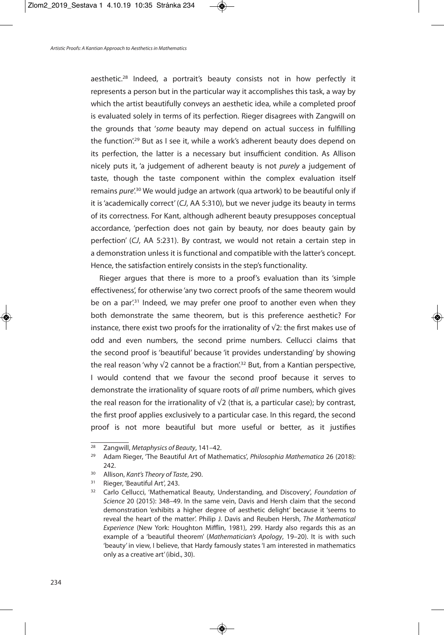aesthetic.<sup>28</sup> Indeed, a portrait's beauty consists not in how perfectly it represents a person but in the particular way it accomplishes this task, a way by which the artist beautifully conveys an aesthetic idea, while a completed proof is evaluated solely in terms of its perfection. Rieger disagrees with Zangwill on the grounds that 'some beauty may depend on actual success in fulfilling the function<sup>'29</sup> But as I see it, while a work's adherent beauty does depend on its perfection, the latter is a necessary but insufficient condition. As Allison nicely puts it, 'a judgement of adherent beauty is not purely a judgement of taste, though the taste component within the complex evaluation itself remains pure'.<sup>30</sup> We would judge an artwork (qua artwork) to be beautiful only if it is'academically correct' (CJ, AA 5:310), but we never judge its beauty in terms of its correctness. For Kant, although adherent beauty presupposes conceptual accordance, 'perfection does not gain by beauty, nor does beauty gain by perfection' (CJ, AA 5:231). By contrast, we would not retain a certain step in a demonstration unless it is functional and compatible with the latter's concept. Hence, the satisfaction entirely consists in the step's functionality.

Rieger argues that there is more to a proof's evaluation than its 'simple effectiveness', for otherwise 'any two correct proofs of the same theorem would be on a par.<sup>31</sup> Indeed, we may prefer one proof to another even when they both demonstrate the same theorem, but is this preference aesthetic? For instance, there exist two proofs for the irrationality of  $\sqrt{2}$ : the first makes use of odd and even numbers, the second prime numbers. Cellucci claims that the second proof is 'beautiful' because 'it provides understanding' by showing the real reason 'why √2 cannot be a fraction'.<sup>32</sup> But, from a Kantian perspective, I would contend that we favour the second proof because it serves to demonstrate the irrationality of square roots of all prime numbers, which gives the real reason for the irrationality of  $\sqrt{2}$  (that is, a particular case); by contrast, the first proof applies exclusively to a particular case. In this regard, the second proof is not more beautiful but more useful or better, as it justifies

 $\frac{28}{28}$  Zangwill, Metaphysics of Beauty, 141–42.

<sup>&</sup>lt;sup>29</sup> Adam Rieger, 'The Beautiful Art of Mathematics', Philosophia Mathematica 26 (2018): 242.

<sup>&</sup>lt;sup>30</sup> Allison, Kant's Theory of Taste, 290.

<sup>&</sup>lt;sup>31</sup> Rieger, 'Beautiful Art', 243.

<sup>&</sup>lt;sup>32</sup> Carlo Cellucci, 'Mathematical Beauty, Understanding, and Discovery', Foundation of Science 20 (2015): 348–49. In the same vein, Davis and Hersh claim that the second demonstration 'exhibits a higher degree of aesthetic delight' because it 'seems to reveal the heart of the matter'. Philip J. Davis and Reuben Hersh, The Mathematical Experience (New York: Houghton Mifflin, 1981), 299. Hardy also regards this as an example of a 'beautiful theorem' (Mathematician's Apology, 19–20). It is with such 'beauty' in view, I believe, that Hardy famously states'I am interested in mathematics only as a creative art'(ibid., 30).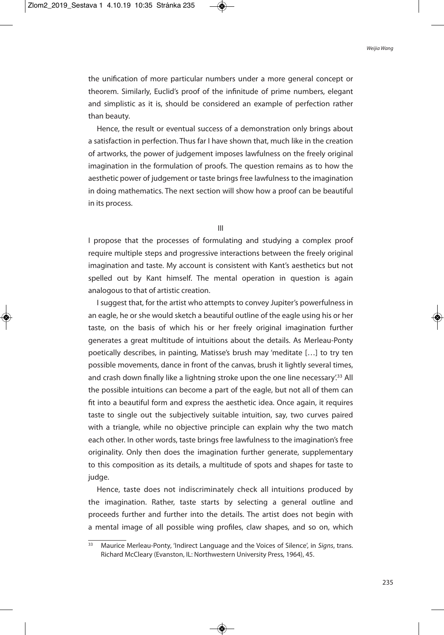the unification of more particular numbers under a more general concept or theorem. Similarly, Euclid's proof of the infinitude of prime numbers, elegant and simplistic as it is, should be considered an example of perfection rather than beauty.

Hence, the result or eventual success of a demonstration only brings about a satisfaction in perfection. Thus far I have shown that, much like in the creation of artworks, the power of judgement imposes lawfulness on the freely original imagination in the formulation of proofs. The question remains as to how the aesthetic power of judgement or taste brings free lawfulness to the imagination in doing mathematics. The next section will show how a proof can be beautiful in its process.

III

I propose that the processes of formulating and studying a complex proof require multiple steps and progressive interactions between the freely original imagination and taste. My account is consistent with Kant's aesthetics but not spelled out by Kant himself. The mental operation in question is again analogous to that of artistic creation.

I suggest that, for the artist who attempts to convey Jupiter's powerfulness in an eagle, he or she would sketch a beautiful outline of the eagle using his or her taste, on the basis of which his or her freely original imagination further generates a great multitude of intuitions about the details. As Merleau-Ponty poetically describes, in painting, Matisse's brush may 'meditate […] to try ten possible movements, dance in front of the canvas, brush it lightly several times, and crash down finally like a lightning stroke upon the one line necessary'.<sup>33</sup> All the possible intuitions can become a part of the eagle, but not all of them can fit into a beautiful form and express the aesthetic idea. Once again, it requires taste to single out the subjectively suitable intuition, say, two curves paired with a triangle, while no objective principle can explain why the two match each other. In other words, taste brings free lawfulness to the imagination's free originality. Only then does the imagination further generate, supplementary to this composition as its details, a multitude of spots and shapes for taste to judge.

Hence, taste does not indiscriminately check all intuitions produced by the imagination. Rather, taste starts by selecting a general outline and proceeds further and further into the details. The artist does not begin with a mental image of all possible wing profiles, claw shapes, and so on, which

<sup>&</sup>lt;sup>33</sup> Maurice Merleau-Ponty, 'Indirect Language and the Voices of Silence', in Signs, trans. Richard McCleary (Evanston, IL: Northwestern University Press, 1964), 45.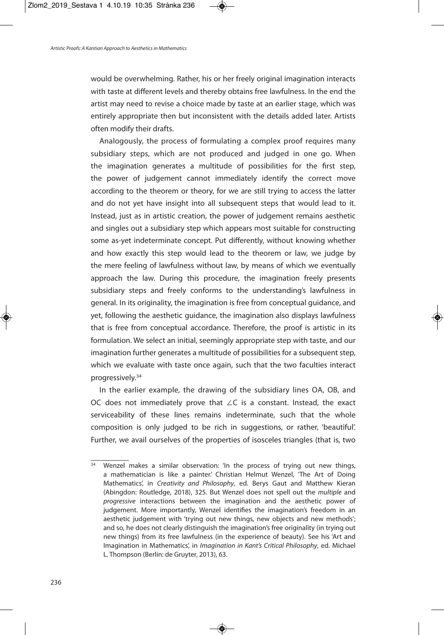would be overwhelming. Rather, his or her freely original imagination interacts with taste at different levels and thereby obtains free lawfulness. In the end the artist may need to revise a choice made by taste at an earlier stage, which was entirely appropriate then but inconsistent with the details added later. Artists often modify their drafts.

Analogously, the process of formulating a complex proof requires many subsidiary steps, which are not produced and judged in one go. When the imagination generates a multitude of possibilities for the first step, the power of judgement cannot immediately identify the correct move according to the theorem or theory, for we are still trying to access the latter and do not yet have insight into all subsequent steps that would lead to it. Instead, just as in artistic creation, the power of judgement remains aesthetic and singles out a subsidiary step which appears most suitable for constructing some as-yet indeterminate concept. Put differently, without knowing whether and how exactly this step would lead to the theorem or law, we judge by the mere feeling of lawfulness without law, by means of which we eventually approach the law. During this procedure, the imagination freely presents subsidiary steps and freely conforms to the understanding's lawfulness in general. In its originality, the imagination is free from conceptual guidance, and yet, following the aesthetic guidance, the imagination also displays lawfulness that is free from conceptual accordance. Therefore, the proof is artistic in its formulation. We select an initial, seemingly appropriate step with taste, and our imagination further generates a multitude of possibilities for a subsequent step, which we evaluate with taste once again, such that the two faculties interact progressively. 34

In the earlier example, the drawing of the subsidiary lines OA, OB, and OC does not immediately prove that ∠C is a constant. Instead, the exact serviceability of these lines remains indeterminate, such that the whole composition is only judged to be rich in suggestions, or rather, 'beautiful'. Further, we avail ourselves of the properties of isosceles triangles (that is, two

<sup>&</sup>lt;sup>34</sup> Wenzel makes a similar observation: 'In the process of trying out new things, a mathematician is like a painter.' Christian Helmut Wenzel, 'The Art of Doing Mathematics', in Creativity and Philosophy, ed. Berys Gaut and Matthew Kieran (Abingdon: Routledge, 2018), 325. But Wenzel does not spell out the multiple and progressive interactions between the imagination and the aesthetic power of judgement. More importantly, Wenzel identifies the imagination's freedom in an aesthetic judgement with 'trying out new things, new objects and new methods'; and so, he does not clearly distinguish the imagination's free originality (in trying out new things) from its free lawfulness (in the experience of beauty). See his 'Art and Imagination in Mathematics', in Imagination in Kant's Critical Philosophy, ed. Michael L. Thompson (Berlin: de Gruyter, 2013), 63.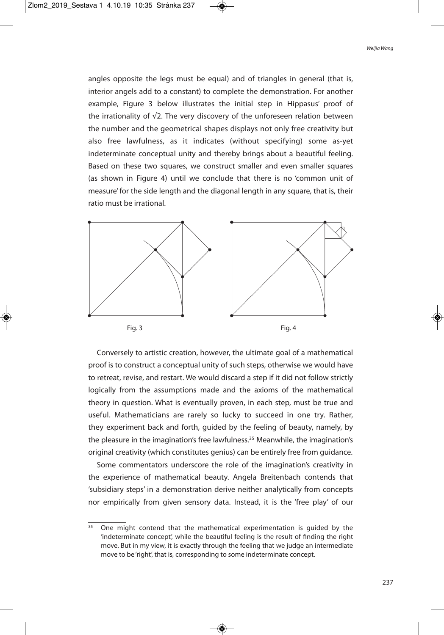angles opposite the legs must be equal) and of triangles in general (that is, interior angels add to a constant) to complete the demonstration. For another example, Figure 3 below illustrates the initial step in Hippasus' proof of the irrationality of √2. The very discovery of the unforeseen relation between the number and the geometrical shapes displays not only free creativity but also free lawfulness, as it indicates (without specifying) some as-yet indeterminate conceptual unity and thereby brings about a beautiful feeling. Based on these two squares, we construct smaller and even smaller squares (as shown in Figure 4) until we conclude that there is no 'common unit of measure' for the side length and the diagonal length in any square, that is, their ratio must be irrational.



Conversely to artistic creation, however, the ultimate goal of a mathematical proof is to construct a conceptual unity of such steps, otherwise we would have to retreat, revise, and restart. We would discard a step if it did not follow strictly logically from the assumptions made and the axioms of the mathematical theory in question. What is eventually proven, in each step, must be true and useful. Mathematicians are rarely so lucky to succeed in one try. Rather, they experiment back and forth, guided by the feeling of beauty, namely, by the pleasure in the imagination's free lawfulness. <sup>35</sup> Meanwhile, the imagination's original creativity (which constitutes genius) can be entirely free from guidance.

Some commentators underscore the role of the imagination's creativity in the experience of mathematical beauty. Angela Breitenbach contends that 'subsidiary steps' in a demonstration derive neither analytically from concepts nor empirically from given sensory data. Instead, it is the 'free play' of our

 $\frac{35}{35}$  One might contend that the mathematical experimentation is guided by the 'indeterminate concept', while the beautiful feeling is the result of finding the right move. But in my view, it is exactly through the feeling that we judge an intermediate move to be 'right', that is, corresponding to some indeterminate concept.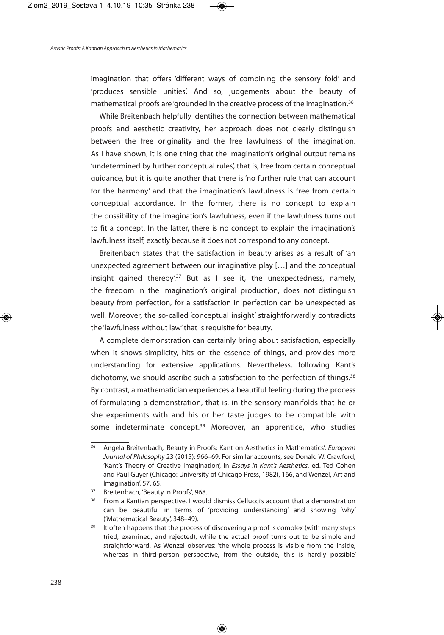imagination that offers 'different ways of combining the sensory fold' and 'produces sensible unities'. And so, judgements about the beauty of mathematical proofs are 'grounded in the creative process of the imagination'.<sup>36</sup>

While Breitenbach helpfully identifies the connection between mathematical proofs and aesthetic creativity, her approach does not clearly distinguish between the free originality and the free lawfulness of the imagination. As I have shown, it is one thing that the imagination's original output remains 'undetermined by further conceptual rules', that is, free from certain conceptual guidance, but it is quite another that there is 'no further rule that can account for the harmony' and that the imagination's lawfulness is free from certain conceptual accordance. In the former, there is no concept to explain the possibility of the imagination's lawfulness, even if the lawfulness turns out to fit a concept. In the latter, there is no concept to explain the imagination's lawfulness itself, exactly because it does not correspond to any concept.

Breitenbach states that the satisfaction in beauty arises as a result of 'an unexpected agreement between our imaginative play […] and the conceptual insight gained thereby<sup>'37</sup> But as I see it, the unexpectedness, namely, the freedom in the imagination's original production, does not distinguish beauty from perfection, for a satisfaction in perfection can be unexpected as well. Moreover, the so-called 'conceptual insight' straightforwardly contradicts the 'lawfulness without law'that is requisite for beauty.

A complete demonstration can certainly bring about satisfaction, especially when it shows simplicity, hits on the essence of things, and provides more understanding for extensive applications. Nevertheless, following Kant's dichotomy, we should ascribe such a satisfaction to the perfection of things.<sup>38</sup> By contrast, a mathematician experiences a beautiful feeling during the process of formulating a demonstration, that is, in the sensory manifolds that he or she experiments with and his or her taste judges to be compatible with some indeterminate concept.<sup>39</sup> Moreover, an apprentice, who studies

<sup>&</sup>lt;sup>36</sup> Angela Breitenbach, 'Beauty in Proofs: Kant on Aesthetics in Mathematics', European Journal of Philosophy 23 (2015): 966–69. For similar accounts, see Donald W. Crawford, 'Kant's Theory of Creative Imagination', in Essays in Kant's Aesthetics, ed. Ted Cohen and Paul Guyer (Chicago: University of Chicago Press, 1982), 166, and Wenzel, 'Art and Imagination', 57, 65.

<sup>&</sup>lt;sup>37</sup> Breitenbach, 'Beauty in Proofs', 968.

<sup>&</sup>lt;sup>38</sup> From a Kantian perspective, I would dismiss Cellucci's account that a demonstration can be beautiful in terms of 'providing understanding' and showing 'why' ('Mathematical Beauty', 348–49).

<sup>&</sup>lt;sup>39</sup> It often happens that the process of discovering a proof is complex (with many steps tried, examined, and rejected), while the actual proof turns out to be simple and straightforward. As Wenzel observes: 'the whole process is visible from the inside, whereas in third-person perspective, from the outside, this is hardly possible'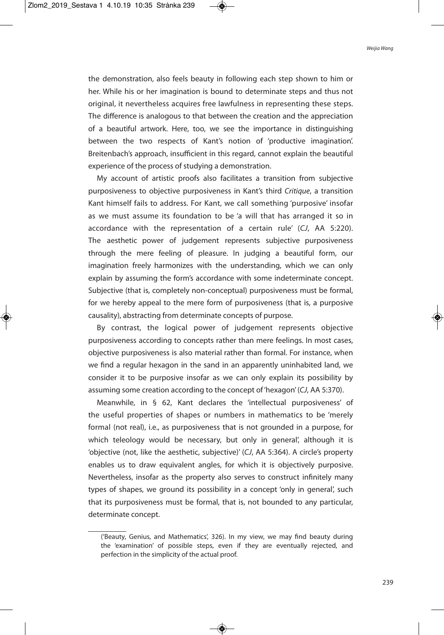the demonstration, also feels beauty in following each step shown to him or her. While his or her imagination is bound to determinate steps and thus not original, it nevertheless acquires free lawfulness in representing these steps. The difference is analogous to that between the creation and the appreciation of a beautiful artwork. Here, too, we see the importance in distinguishing between the two respects of Kant's notion of 'productive imagination'. Breitenbach's approach, insufficient in this regard, cannot explain the beautiful experience of the process of studying a demonstration.

My account of artistic proofs also facilitates a transition from subjective purposiveness to objective purposiveness in Kant's third Critique, a transition Kant himself fails to address. For Kant, we call something 'purposive' insofar as we must assume its foundation to be 'a will that has arranged it so in accordance with the representation of a certain rule' (CJ, AA 5:220). The aesthetic power of judgement represents subjective purposiveness through the mere feeling of pleasure. In judging a beautiful form, our imagination freely harmonizes with the understanding, which we can only explain by assuming the form's accordance with some indeterminate concept. Subjective (that is, completely non-conceptual) purposiveness must be formal, for we hereby appeal to the mere form of purposiveness (that is, a purposive causality), abstracting from determinate concepts of purpose.

By contrast, the logical power of judgement represents objective purposiveness according to concepts rather than mere feelings. In most cases, objective purposiveness is also material rather than formal. For instance, when we find a regular hexagon in the sand in an apparently uninhabited land, we consider it to be purposive insofar as we can only explain its possibility by assuming some creation according to the concept of'hexagon'(CJ, AA 5:370).

Meanwhile, in § 62, Kant declares the 'intellectual purposiveness' of the useful properties of shapes or numbers in mathematics to be 'merely formal (not real), i.e., as purposiveness that is not grounded in a purpose, for which teleology would be necessary, but only in general', although it is 'objective (not, like the aesthetic, subjective)' (CJ, AA 5:364). A circle's property enables us to draw equivalent angles, for which it is objectively purposive. Nevertheless, insofar as the property also serves to construct infinitely many types of shapes, we ground its possibility in a concept 'only in general', such that its purposiveness must be formal, that is, not bounded to any particular, determinate concept.

<sup>(&#</sup>x27;Beauty, Genius, and Mathematics', 326). In my view, we may find beauty during the 'examination' of possible steps, even if they are eventually rejected, and perfection in the simplicity of the actual proof.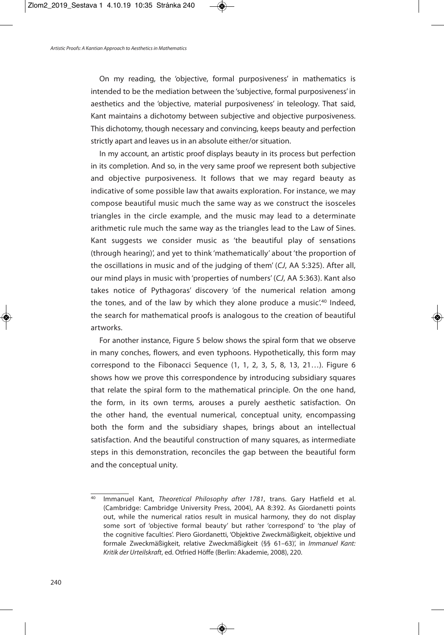On my reading, the 'objective, formal purposiveness' in mathematics is intended to be the mediation between the 'subjective, formal purposiveness' in aesthetics and the 'objective, material purposiveness' in teleology. That said, Kant maintains a dichotomy between subjective and objective purposiveness. This dichotomy, though necessary and convincing, keeps beauty and perfection strictly apart and leaves us in an absolute either/or situation.

In my account, an artistic proof displays beauty in its process but perfection in its completion. And so, in the very same proof we represent both subjective and objective purposiveness. It follows that we may regard beauty as indicative of some possible law that awaits exploration. For instance, we may compose beautiful music much the same way as we construct the isosceles triangles in the circle example, and the music may lead to a determinate arithmetic rule much the same way as the triangles lead to the Law of Sines. Kant suggests we consider music as 'the beautiful play of sensations (through hearing)', and yet to think 'mathematically' about 'the proportion of the oscillations in music and of the judging of them' (CJ, AA 5:325). After all, our mind plays in music with 'properties of numbers' (CJ, AA 5:363). Kant also takes notice of Pythagoras' discovery 'of the numerical relation among the tones, and of the law by which they alone produce a music.<sup>40</sup> Indeed, the search for mathematical proofs is analogous to the creation of beautiful artworks.

For another instance, Figure 5 below shows the spiral form that we observe in many conches, flowers, and even typhoons. Hypothetically, this form may correspond to the Fibonacci Sequence (1, 1, 2, 3, 5, 8, 13, 21…). Figure 6 shows how we prove this correspondence by introducing subsidiary squares that relate the spiral form to the mathematical principle. On the one hand, the form, in its own terms, arouses a purely aesthetic satisfaction. On the other hand, the eventual numerical, conceptual unity, encompassing both the form and the subsidiary shapes, brings about an intellectual satisfaction. And the beautiful construction of many squares, as intermediate steps in this demonstration, reconciles the gap between the beautiful form and the conceptual unity.

<sup>40</sup> Immanuel Kant, Theoretical Philosophy after 1781, trans. Gary Hatfield et al. (Cambridge: Cambridge University Press, 2004), AA 8:392. As Giordanetti points out, while the numerical ratios result in musical harmony, they do not display some sort of 'objective formal beauty' but rather 'correspond' to 'the play of the cognitive faculties'. Piero Giordanetti, 'Objektive Zweckmäßigkeit, objektive und formale Zweckmäßigkeit, relative Zweckmäßigkeit (§§ 61–63)', in Immanuel Kant: Kritik der Urteilskraft, ed. Otfried Höffe (Berlin: Akademie, 2008), 220.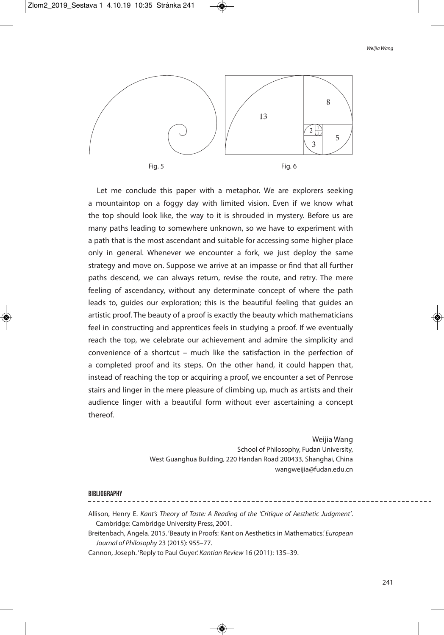

Let me conclude this paper with a metaphor. We are explorers seeking a mountaintop on a foggy day with limited vision. Even if we know what the top should look like, the way to it is shrouded in mystery. Before us are many paths leading to somewhere unknown, so we have to experiment with a path that is the most ascendant and suitable for accessing some higher place only in general. Whenever we encounter a fork, we just deploy the same strategy and move on. Suppose we arrive at an impasse or find that all further paths descend, we can always return, revise the route, and retry. The mere feeling of ascendancy, without any determinate concept of where the path leads to, guides our exploration; this is the beautiful feeling that guides an artistic proof. The beauty of a proof is exactly the beauty which mathematicians feel in constructing and apprentices feels in studying a proof. If we eventually reach the top, we celebrate our achievement and admire the simplicity and convenience of a shortcut – much like the satisfaction in the perfection of a completed proof and its steps. On the other hand, it could happen that, instead of reaching the top or acquiring a proof, we encounter a set of Penrose stairs and linger in the mere pleasure of climbing up, much as artists and their audience linger with a beautiful form without ever ascertaining a concept thereof.

> Weijia Wang School of Philosophy, Fudan University, West Guanghua Building, 220 Handan Road 200433, Shanghai, China wangweijia@fudan.edu.cn

## **BIBLIOGRAPHY**

- Allison, Henry E. Kant's Theory of Taste: A Reading of the 'Critique of Aesthetic Judgment'. Cambridge: Cambridge University Press, 2001.
- Breitenbach, Angela. 2015. 'Beauty in Proofs: Kant on Aesthetics in Mathematics.' European Journal of Philosophy 23 (2015): 955–77.
- Cannon, Joseph. 'Reply to Paul Guyer.'Kantian Review 16 (2011): 135–39.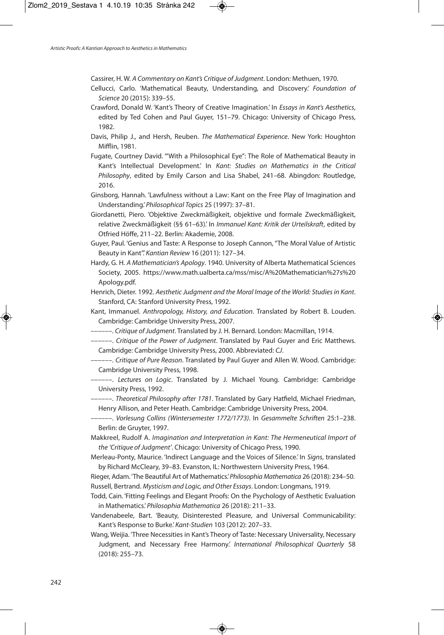Cassirer, H. W. A Commentary on Kant's Critique ofJudgment. London: Methuen, 1970.

- Cellucci, Carlo. 'Mathematical Beauty, Understanding, and Discovery.' Foundation of Science 20 (2015): 339–55.
- Crawford, Donald W. 'Kant's Theory of Creative Imagination.' In Essays in Kant's Aesthetics, edited by Ted Cohen and Paul Guyer, 151–79. Chicago: University of Chicago Press, 1982.
- Davis, Philip J., and Hersh, Reuben. The Mathematical Experience. New York: Houghton Mifflin, 1981.
- Fugate, Courtney David. '"With a Philosophical Eye": The Role of Mathematical Beauty in Kant's Intellectual Development.' In Kant: Studies on Mathematics in the Critical Philosophy, edited by Emily Carson and Lisa Shabel, 241–68. Abingdon: Routledge, 2016.
- Ginsborg, Hannah. 'Lawfulness without a Law: Kant on the Free Play of Imagination and Understanding.'Philosophical Topics 25 (1997): 37–81.
- Giordanetti, Piero. 'Objektive Zweckmäßigkeit, objektive und formale Zweckmäßigkeit, relative Zweckmäßigkeit (§§ 61–63).' In Immanuel Kant: Kritik der Urteilskraft, edited by Otfried Höffe, 211–22. Berlin: Akademie, 2008.
- Guyer, Paul. 'Genius and Taste: A Response to Joseph Cannon,"The Moral Value of Artistic Beauty in Kant". Kantian Review 16 (2011): 127-34.
- Hardy, G. H. A Mathematician's Apology. 1940. University of Alberta Mathematical Sciences Society, 2005. https://www.math.ualberta.ca/mss/misc/A%20Mathematician%27s%20 Apology.pdf.
- Henrich, Dieter. 1992. Aesthetic Judgment and the Moral Image of the World: Studies in Kant. Stanford, CA: Stanford University Press, 1992.
- Kant, Immanuel. Anthropology, History, and Education. Translated by Robert B. Louden. Cambridge: Cambridge University Press, 2007.
- ––––––. Critique of Judgment. Translated by J. H. Bernard. London: Macmillan, 1914.

––––––. Critique of the Power of Judgment. Translated by Paul Guyer and Eric Matthews. Cambridge: Cambridge University Press, 2000. Abbreviated: CJ.

- --. Critique of Pure Reason. Translated by Paul Guyer and Allen W. Wood. Cambridge: Cambridge University Press, 1998.
- ––––––. Lectures on Logic. Translated by J. Michael Young. Cambridge: Cambridge University Press, 1992.
- ----. Theoretical Philosophy after 1781. Translated by Gary Hatfield, Michael Friedman, Henry Allison, and Peter Heath. Cambridge: Cambridge University Press, 2004.
- ––––––. Vorlesung Collins (Wintersemester 1772/1773). In Gesammelte Schriften 25:1–238. Berlin: de Gruyter, 1997.
- Makkreel, Rudolf A. Imagination and Interpretation in Kant: The Hermeneutical Import of the 'Critique of Judgment'. Chicago: University of Chicago Press, 1990.
- Merleau-Ponty, Maurice. 'Indirect Language and the Voices of Silence.' In Signs, translated by Richard McCleary, 39–83. Evanston, IL: Northwestern University Press, 1964.
- Rieger, Adam. 'The Beautiful Art of Mathematics.'Philosophia Mathematica 26 (2018): 234–50. Russell, Bertrand. Mysticism and Logic, and Other Essays. London: Longmans, 1919.
- Todd, Cain. 'Fitting Feelings and Elegant Proofs: On the Psychology of Aesthetic Evaluation in Mathematics.'Philosophia Mathematica 26 (2018): 211–33.
- Vandenabeele, Bart. 'Beauty, Disinterested Pleasure, and Universal Communicability: Kant's Response to Burke.' Kant-Studien 103 (2012): 207-33.
- Wang, Weijia. 'Three Necessities in Kant's Theory of Taste: Necessary Universality, Necessary Judgment, and Necessary Free Harmony.' International Philosophical Quarterly 58 (2018): 255–73.